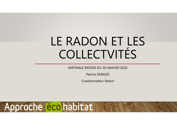# LE RADON ET LES COLLECTVITÉS

MATINALE RADON DU 30 JANVIER 2020

Patrick DEBAIZE

Coordonnateur Radon

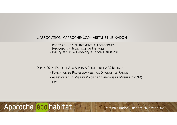### L'ASSOCIATION <sup>A</sup>PPROCHE-ÉCOHABITAT ET LE <sup>R</sup>ADON

- -<sup>P</sup>ROFESSIONNELS DU <sup>B</sup>ÂTIMENT -> ÉCOLOGIQUES
- Implantation Essentielle en Bretagne<br>- Implicuée sub la Tuématique Babon e
- <sup>I</sup>MPLIQUÉE SUR LA <sup>T</sup>HÉMATIQUE <sup>R</sup>ADON <sup>D</sup>EPUIS <sup>2013</sup>

DEPUIS 2014, PARTICIPE <sup>A</sup>UX <sup>A</sup>PPELS A PROJETS DE <sup>L</sup>'ARS BRETAGNE

- <sup>F</sup>ORMATION DE <sup>P</sup>ROFESSIONNELS AUX <sup>D</sup>IAGNOSTICS <sup>R</sup>ADON
- <sup>A</sup>SSISTANCE <sup>À</sup> LA <sup>M</sup>ISE EN <sup>P</sup>LACE DE <sup>C</sup>AMPAGNES DE <sup>M</sup>ESURE (CPOM)

- <sup>E</sup>TC ...

Approche éco habitat

Matinale Radon – Rennes 30 janvier 2020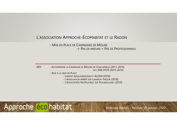### L'ASSOCIATION <sup>A</sup>PPROCHE-ÉCOHABITAT ET LE <sup>R</sup>ADON

- Mise en Place de Campagnes de Mesure<br>- Disease inferire -> PAS DE MESURE = PAS DE <sup>P</sup>ROFESSIONNELS

AEH - ACCOMPAGNE LA CAMPAGNE DE MESURE DE CONCARNEAU (2011-2014) DE <sup>L</sup>'ARS DT29 (2015-2016)

- <sup>A</sup>IDE <sup>À</sup> LA MISE EN <sup>P</sup>LACE

- <sup>L</sup>ORIENT-AGGLOMÉRATION ET ALOEN (2018)
- L'ASSOCIATION AMIH SUR <sup>L</sup>ANNION-TRÉGOR (2018)
- L'ASSOCIATION <sup>P</sup>ACIPLOUBAZ SUR <sup>P</sup>LOUBAZLANEC (2019)

Approche éco habitat

Matinale Radon – Rennes 30 janvier 2020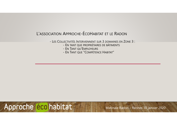#### L'ASSOCIATION APPROCHE-ÉCOHABITAT ET LE RADON

- LES COLLECTIVITÉS INTERVIENNENT SUR 3 DOMAINES EN ZONE 3 :

- EN TANT QUE PROPRIÉTAIRES DE BÂTIMENTS
- EN TANT QU'EMPLOYEURS
- EN TANT QUE "COMPÉTENCE HABITAT"

## Approche éco habitat